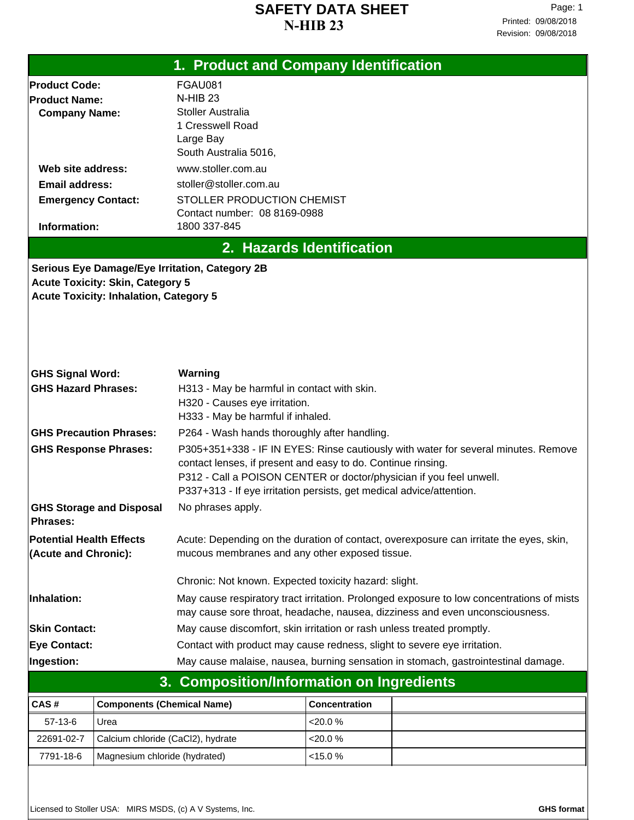|                                                       | 1. Product and Company Identification         |                                                                                                                                                    |                           |  |  |  |
|-------------------------------------------------------|-----------------------------------------------|----------------------------------------------------------------------------------------------------------------------------------------------------|---------------------------|--|--|--|
| <b>Product Code:</b>                                  |                                               | FGAU081                                                                                                                                            |                           |  |  |  |
| <b>Product Name:</b>                                  |                                               | $N$ -HIB 23                                                                                                                                        |                           |  |  |  |
| <b>Company Name:</b>                                  |                                               | Stoller Australia                                                                                                                                  |                           |  |  |  |
|                                                       |                                               | 1 Cresswell Road                                                                                                                                   |                           |  |  |  |
|                                                       |                                               | Large Bay<br>South Australia 5016,                                                                                                                 |                           |  |  |  |
|                                                       |                                               | www.stoller.com.au                                                                                                                                 |                           |  |  |  |
| Web site address:                                     |                                               | stoller@stoller.com.au                                                                                                                             |                           |  |  |  |
| <b>Email address:</b><br><b>Emergency Contact:</b>    |                                               | <b>STOLLER PRODUCTION CHEMIST</b>                                                                                                                  |                           |  |  |  |
|                                                       |                                               | Contact number: 08 8169-0988                                                                                                                       |                           |  |  |  |
| Information:                                          |                                               | 1800 337-845                                                                                                                                       |                           |  |  |  |
|                                                       |                                               |                                                                                                                                                    | 2. Hazards Identification |  |  |  |
|                                                       |                                               | <b>Serious Eye Damage/Eye Irritation, Category 2B</b>                                                                                              |                           |  |  |  |
|                                                       | <b>Acute Toxicity: Skin, Category 5</b>       |                                                                                                                                                    |                           |  |  |  |
|                                                       | <b>Acute Toxicity: Inhalation, Category 5</b> |                                                                                                                                                    |                           |  |  |  |
|                                                       |                                               |                                                                                                                                                    |                           |  |  |  |
|                                                       |                                               |                                                                                                                                                    |                           |  |  |  |
|                                                       |                                               |                                                                                                                                                    |                           |  |  |  |
|                                                       |                                               |                                                                                                                                                    |                           |  |  |  |
| <b>GHS Signal Word:</b><br><b>GHS Hazard Phrases:</b> |                                               | Warning<br>H313 - May be harmful in contact with skin.                                                                                             |                           |  |  |  |
|                                                       |                                               | H320 - Causes eye irritation.                                                                                                                      |                           |  |  |  |
|                                                       |                                               | H333 - May be harmful if inhaled.                                                                                                                  |                           |  |  |  |
| <b>GHS Precaution Phrases:</b>                        |                                               | P264 - Wash hands thoroughly after handling.                                                                                                       |                           |  |  |  |
| <b>GHS Response Phrases:</b>                          |                                               | P305+351+338 - IF IN EYES: Rinse cautiously with water for several minutes. Remove                                                                 |                           |  |  |  |
|                                                       |                                               | contact lenses, if present and easy to do. Continue rinsing.                                                                                       |                           |  |  |  |
|                                                       |                                               | P312 - Call a POISON CENTER or doctor/physician if you feel unwell.                                                                                |                           |  |  |  |
|                                                       |                                               | P337+313 - If eye irritation persists, get medical advice/attention.                                                                               |                           |  |  |  |
| <b>GHS Storage and Disposal</b>                       |                                               | No phrases apply.                                                                                                                                  |                           |  |  |  |
| Phrases:                                              |                                               |                                                                                                                                                    |                           |  |  |  |
| <b>Potential Health Effects</b>                       |                                               | Acute: Depending on the duration of contact, overexposure can irritate the eyes, skin,                                                             |                           |  |  |  |
| (Acute and Chronic):                                  |                                               | mucous membranes and any other exposed tissue.                                                                                                     |                           |  |  |  |
|                                                       |                                               |                                                                                                                                                    |                           |  |  |  |
|                                                       |                                               | Chronic: Not known. Expected toxicity hazard: slight.<br>May cause respiratory tract irritation. Prolonged exposure to low concentrations of mists |                           |  |  |  |
| Inhalation:                                           |                                               | may cause sore throat, headache, nausea, dizziness and even unconsciousness.                                                                       |                           |  |  |  |
| <b>Skin Contact:</b>                                  |                                               | May cause discomfort, skin irritation or rash unless treated promptly.                                                                             |                           |  |  |  |
| <b>Eye Contact:</b>                                   |                                               | Contact with product may cause redness, slight to severe eye irritation.                                                                           |                           |  |  |  |
| Ingestion:                                            |                                               | May cause malaise, nausea, burning sensation in stomach, gastrointestinal damage.                                                                  |                           |  |  |  |
|                                                       | 3.                                            | <b>Composition/Information on Ingredients</b>                                                                                                      |                           |  |  |  |
|                                                       |                                               |                                                                                                                                                    |                           |  |  |  |
| CAS#                                                  | <b>Components (Chemical Name)</b>             |                                                                                                                                                    | Concentration             |  |  |  |
| $57-13-6$                                             | Urea                                          |                                                                                                                                                    | < 20.0 %                  |  |  |  |
| 22691-02-7                                            | Calcium chloride (CaCl2), hydrate             |                                                                                                                                                    | <20.0 %                   |  |  |  |

7791-18-6 Magnesium chloride (hydrated) <15.0 %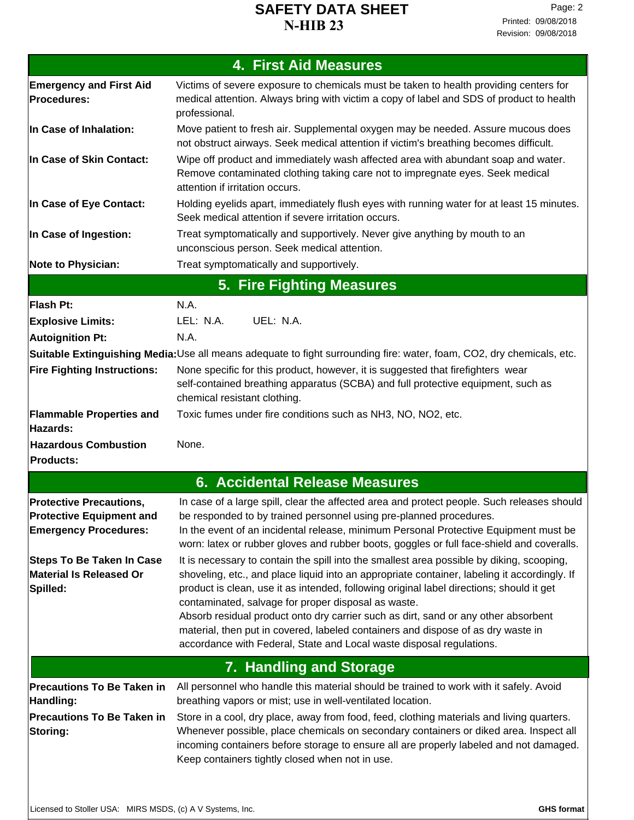| <b>4. First Aid Measures</b>                                                                      |                                                                                                                                                                                                                                                                                                                                                                                                                                                                                                                                                                                                |  |  |  |
|---------------------------------------------------------------------------------------------------|------------------------------------------------------------------------------------------------------------------------------------------------------------------------------------------------------------------------------------------------------------------------------------------------------------------------------------------------------------------------------------------------------------------------------------------------------------------------------------------------------------------------------------------------------------------------------------------------|--|--|--|
| <b>Emergency and First Aid</b><br>Procedures:                                                     | Victims of severe exposure to chemicals must be taken to health providing centers for<br>medical attention. Always bring with victim a copy of label and SDS of product to health<br>professional.                                                                                                                                                                                                                                                                                                                                                                                             |  |  |  |
| In Case of Inhalation:                                                                            | Move patient to fresh air. Supplemental oxygen may be needed. Assure mucous does<br>not obstruct airways. Seek medical attention if victim's breathing becomes difficult.                                                                                                                                                                                                                                                                                                                                                                                                                      |  |  |  |
| In Case of Skin Contact:                                                                          | Wipe off product and immediately wash affected area with abundant soap and water.<br>Remove contaminated clothing taking care not to impregnate eyes. Seek medical<br>attention if irritation occurs.                                                                                                                                                                                                                                                                                                                                                                                          |  |  |  |
| In Case of Eye Contact:                                                                           | Holding eyelids apart, immediately flush eyes with running water for at least 15 minutes.<br>Seek medical attention if severe irritation occurs.                                                                                                                                                                                                                                                                                                                                                                                                                                               |  |  |  |
| In Case of Ingestion:                                                                             | Treat symptomatically and supportively. Never give anything by mouth to an<br>unconscious person. Seek medical attention.                                                                                                                                                                                                                                                                                                                                                                                                                                                                      |  |  |  |
| <b>Note to Physician:</b>                                                                         | Treat symptomatically and supportively.                                                                                                                                                                                                                                                                                                                                                                                                                                                                                                                                                        |  |  |  |
|                                                                                                   | 5. Fire Fighting Measures                                                                                                                                                                                                                                                                                                                                                                                                                                                                                                                                                                      |  |  |  |
| Flash Pt:                                                                                         | N.A.                                                                                                                                                                                                                                                                                                                                                                                                                                                                                                                                                                                           |  |  |  |
| <b>Explosive Limits:</b>                                                                          | UEL: N.A.<br>LEL: N.A.                                                                                                                                                                                                                                                                                                                                                                                                                                                                                                                                                                         |  |  |  |
| Autoignition Pt:                                                                                  | N.A.                                                                                                                                                                                                                                                                                                                                                                                                                                                                                                                                                                                           |  |  |  |
|                                                                                                   | Suitable Extinguishing Media:Use all means adequate to fight surrounding fire: water, foam, CO2, dry chemicals, etc.                                                                                                                                                                                                                                                                                                                                                                                                                                                                           |  |  |  |
| <b>Fire Fighting Instructions:</b>                                                                | None specific for this product, however, it is suggested that firefighters wear<br>self-contained breathing apparatus (SCBA) and full protective equipment, such as<br>chemical resistant clothing.                                                                                                                                                                                                                                                                                                                                                                                            |  |  |  |
| <b>Flammable Properties and</b><br>Hazards:                                                       | Toxic fumes under fire conditions such as NH3, NO, NO2, etc.                                                                                                                                                                                                                                                                                                                                                                                                                                                                                                                                   |  |  |  |
| <b>Hazardous Combustion</b><br><b>Products:</b>                                                   | None.                                                                                                                                                                                                                                                                                                                                                                                                                                                                                                                                                                                          |  |  |  |
|                                                                                                   | <b>6. Accidental Release Measures</b>                                                                                                                                                                                                                                                                                                                                                                                                                                                                                                                                                          |  |  |  |
| <b>Protective Precautions,</b><br><b>Protective Equipment and</b><br><b>Emergency Procedures:</b> | In case of a large spill, clear the affected area and protect people. Such releases should<br>be responded to by trained personnel using pre-planned procedures.<br>In the event of an incidental release, minimum Personal Protective Equipment must be<br>worn: latex or rubber gloves and rubber boots, goggles or full face-shield and coveralls.                                                                                                                                                                                                                                          |  |  |  |
| <b>Steps To Be Taken In Case</b><br><b>Material Is Released Or</b><br>Spilled:                    | It is necessary to contain the spill into the smallest area possible by diking, scooping,<br>shoveling, etc., and place liquid into an appropriate container, labeling it accordingly. If<br>product is clean, use it as intended, following original label directions; should it get<br>contaminated, salvage for proper disposal as waste.<br>Absorb residual product onto dry carrier such as dirt, sand or any other absorbent<br>material, then put in covered, labeled containers and dispose of as dry waste in<br>accordance with Federal, State and Local waste disposal regulations. |  |  |  |
|                                                                                                   | 7. Handling and Storage                                                                                                                                                                                                                                                                                                                                                                                                                                                                                                                                                                        |  |  |  |
| <b>Precautions To Be Taken in</b><br>Handling:                                                    | All personnel who handle this material should be trained to work with it safely. Avoid<br>breathing vapors or mist; use in well-ventilated location.                                                                                                                                                                                                                                                                                                                                                                                                                                           |  |  |  |
| <b>Precautions To Be Taken in</b><br>Storing:                                                     | Store in a cool, dry place, away from food, feed, clothing materials and living quarters.<br>Whenever possible, place chemicals on secondary containers or diked area. Inspect all<br>incoming containers before storage to ensure all are properly labeled and not damaged.<br>Keep containers tightly closed when not in use.                                                                                                                                                                                                                                                                |  |  |  |
|                                                                                                   |                                                                                                                                                                                                                                                                                                                                                                                                                                                                                                                                                                                                |  |  |  |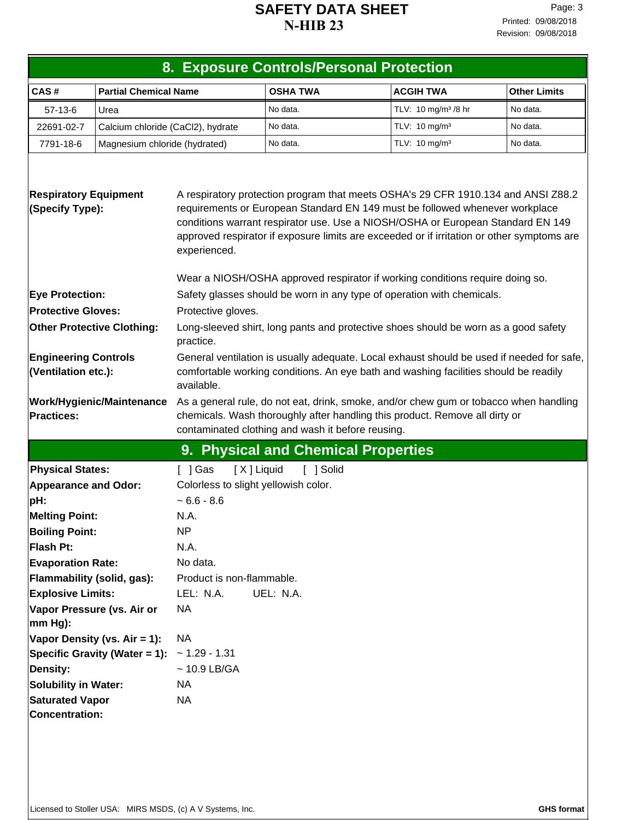| 8. Exposure Controls/Personal Protection              |                                   |                                                                                                                                                                                                                                                                                                                                                                    |                                     |                                 |                     |  |  |
|-------------------------------------------------------|-----------------------------------|--------------------------------------------------------------------------------------------------------------------------------------------------------------------------------------------------------------------------------------------------------------------------------------------------------------------------------------------------------------------|-------------------------------------|---------------------------------|---------------------|--|--|
| CAS#                                                  | <b>Partial Chemical Name</b>      |                                                                                                                                                                                                                                                                                                                                                                    | <b>OSHA TWA</b>                     | <b>ACGIH TWA</b>                | <b>Other Limits</b> |  |  |
| $57-13-6$                                             | Urea                              |                                                                                                                                                                                                                                                                                                                                                                    | No data.                            | TLV: 10 mg/m <sup>3</sup> /8 hr | No data.            |  |  |
| 22691-02-7                                            | Calcium chloride (CaCl2), hydrate |                                                                                                                                                                                                                                                                                                                                                                    | No data.                            | TLV: 10 mg/m <sup>3</sup>       | No data.            |  |  |
| 7791-18-6                                             | Magnesium chloride (hydrated)     |                                                                                                                                                                                                                                                                                                                                                                    | No data.                            | TLV: 10 mg/m <sup>3</sup>       | No data.            |  |  |
|                                                       |                                   |                                                                                                                                                                                                                                                                                                                                                                    |                                     |                                 |                     |  |  |
| <b>Respiratory Equipment</b><br>(Specify Type):       |                                   | A respiratory protection program that meets OSHA's 29 CFR 1910.134 and ANSI Z88.2<br>requirements or European Standard EN 149 must be followed whenever workplace<br>conditions warrant respirator use. Use a NIOSH/OSHA or European Standard EN 149<br>approved respirator if exposure limits are exceeded or if irritation or other symptoms are<br>experienced. |                                     |                                 |                     |  |  |
|                                                       |                                   | Wear a NIOSH/OSHA approved respirator if working conditions require doing so.<br>Safety glasses should be worn in any type of operation with chemicals.                                                                                                                                                                                                            |                                     |                                 |                     |  |  |
| <b>Eye Protection:</b><br><b>Protective Gloves:</b>   |                                   | Protective gloves.                                                                                                                                                                                                                                                                                                                                                 |                                     |                                 |                     |  |  |
| <b>Other Protective Clothing:</b>                     |                                   | Long-sleeved shirt, long pants and protective shoes should be worn as a good safety<br>practice.                                                                                                                                                                                                                                                                   |                                     |                                 |                     |  |  |
| <b>Engineering Controls</b><br>(Ventilation etc.):    |                                   | General ventilation is usually adequate. Local exhaust should be used if needed for safe,<br>comfortable working conditions. An eye bath and washing facilities should be readily<br>available.                                                                                                                                                                    |                                     |                                 |                     |  |  |
| <b>Work/Hygienic/Maintenance</b><br><b>Practices:</b> |                                   | As a general rule, do not eat, drink, smoke, and/or chew gum or tobacco when handling<br>chemicals. Wash thoroughly after handling this product. Remove all dirty or<br>contaminated clothing and wash it before reusing.                                                                                                                                          |                                     |                                 |                     |  |  |
|                                                       |                                   |                                                                                                                                                                                                                                                                                                                                                                    | 9. Physical and Chemical Properties |                                 |                     |  |  |
| <b>Physical States:</b>                               |                                   | [X] Liquid<br>[ ] Gas                                                                                                                                                                                                                                                                                                                                              | [ ] Solid                           |                                 |                     |  |  |
| <b>Appearance and Odor:</b>                           |                                   | Colorless to slight yellowish color.                                                                                                                                                                                                                                                                                                                               |                                     |                                 |                     |  |  |
| pH:                                                   |                                   | $~5.6 - 8.6$                                                                                                                                                                                                                                                                                                                                                       |                                     |                                 |                     |  |  |
| <b>Melting Point:</b>                                 |                                   | N.A.                                                                                                                                                                                                                                                                                                                                                               |                                     |                                 |                     |  |  |
| <b>Boiling Point:</b>                                 |                                   | NP                                                                                                                                                                                                                                                                                                                                                                 |                                     |                                 |                     |  |  |
| Flash Pt:                                             |                                   | N.A.                                                                                                                                                                                                                                                                                                                                                               |                                     |                                 |                     |  |  |
| <b>Evaporation Rate:</b>                              |                                   | No data.                                                                                                                                                                                                                                                                                                                                                           |                                     |                                 |                     |  |  |
| Flammability (solid, gas):                            |                                   | Product is non-flammable.                                                                                                                                                                                                                                                                                                                                          |                                     |                                 |                     |  |  |
| <b>Explosive Limits:</b>                              |                                   | LEL: N.A.                                                                                                                                                                                                                                                                                                                                                          | UEL: N.A.                           |                                 |                     |  |  |
| mm Hg):                                               | Vapor Pressure (vs. Air or        | <b>NA</b>                                                                                                                                                                                                                                                                                                                                                          |                                     |                                 |                     |  |  |
|                                                       | Vapor Density (vs. Air = 1):      | <b>NA</b>                                                                                                                                                                                                                                                                                                                                                          |                                     |                                 |                     |  |  |
|                                                       | Specific Gravity (Water = 1):     | $~1.29 - 1.31$                                                                                                                                                                                                                                                                                                                                                     |                                     |                                 |                     |  |  |
| <b>Density:</b>                                       |                                   | $~10.9$ LB/GA                                                                                                                                                                                                                                                                                                                                                      |                                     |                                 |                     |  |  |
| <b>Solubility in Water:</b>                           |                                   | <b>NA</b>                                                                                                                                                                                                                                                                                                                                                          |                                     |                                 |                     |  |  |
| <b>Saturated Vapor</b>                                |                                   | <b>NA</b>                                                                                                                                                                                                                                                                                                                                                          |                                     |                                 |                     |  |  |
| <b>Concentration:</b>                                 |                                   |                                                                                                                                                                                                                                                                                                                                                                    |                                     |                                 |                     |  |  |
|                                                       |                                   |                                                                                                                                                                                                                                                                                                                                                                    |                                     |                                 |                     |  |  |
|                                                       |                                   |                                                                                                                                                                                                                                                                                                                                                                    |                                     |                                 |                     |  |  |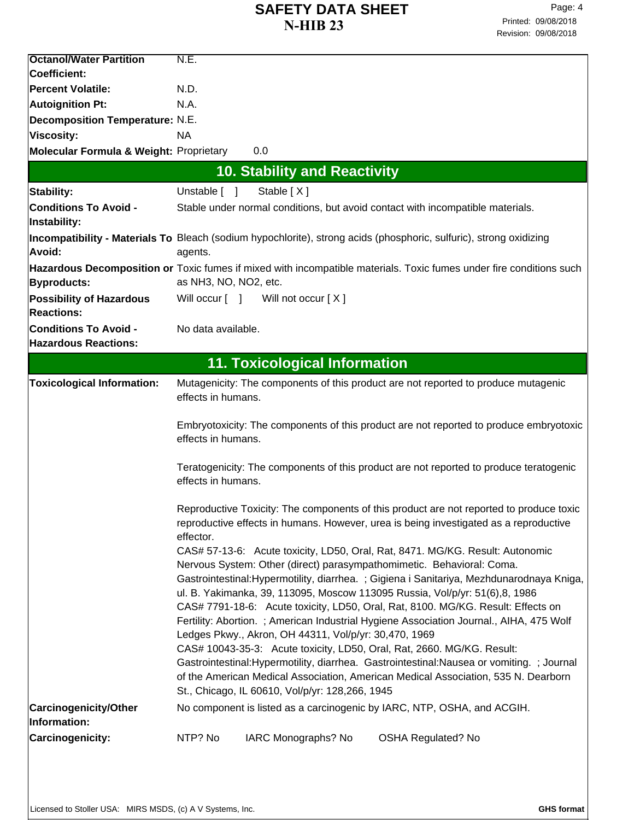| <b>Octanol/Water Partition</b>                     | N.E.                                                                                                                                  |  |  |
|----------------------------------------------------|---------------------------------------------------------------------------------------------------------------------------------------|--|--|
| Coefficient:                                       |                                                                                                                                       |  |  |
| <b>Percent Volatile:</b>                           | N.D.                                                                                                                                  |  |  |
| Autoignition Pt:                                   | N.A.                                                                                                                                  |  |  |
| <b>Decomposition Temperature: N.E.</b>             |                                                                                                                                       |  |  |
| Viscosity:                                         | <b>NA</b>                                                                                                                             |  |  |
| <b>Molecular Formula &amp; Weight: Proprietary</b> | 0.0                                                                                                                                   |  |  |
|                                                    | <b>10. Stability and Reactivity</b>                                                                                                   |  |  |
|                                                    |                                                                                                                                       |  |  |
| Stability:                                         | Unstable [ ]<br>Stable [X]                                                                                                            |  |  |
| <b>Conditions To Avoid -</b>                       | Stable under normal conditions, but avoid contact with incompatible materials.                                                        |  |  |
| Instability:                                       |                                                                                                                                       |  |  |
|                                                    | Incompatibility - Materials To Bleach (sodium hypochlorite), strong acids (phosphoric, sulfuric), strong oxidizing                    |  |  |
| Avoid:                                             | agents.                                                                                                                               |  |  |
|                                                    | Hazardous Decomposition or Toxic fumes if mixed with incompatible materials. Toxic fumes under fire conditions such                   |  |  |
| <b>Byproducts:</b>                                 | as NH3, NO, NO2, etc.                                                                                                                 |  |  |
| <b>Possibility of Hazardous</b>                    | Will occur [ ] Will not occur [X]                                                                                                     |  |  |
| <b>Reactions:</b>                                  |                                                                                                                                       |  |  |
| <b>Conditions To Avoid -</b>                       | No data available.                                                                                                                    |  |  |
| <b>Hazardous Reactions:</b>                        |                                                                                                                                       |  |  |
|                                                    | <b>11. Toxicological Information</b>                                                                                                  |  |  |
| <b>Toxicological Information:</b>                  | Mutagenicity: The components of this product are not reported to produce mutagenic                                                    |  |  |
|                                                    | effects in humans.                                                                                                                    |  |  |
|                                                    |                                                                                                                                       |  |  |
|                                                    | Embryotoxicity: The components of this product are not reported to produce embryotoxic                                                |  |  |
|                                                    | effects in humans.                                                                                                                    |  |  |
|                                                    |                                                                                                                                       |  |  |
|                                                    | Teratogenicity: The components of this product are not reported to produce teratogenic                                                |  |  |
|                                                    | effects in humans.                                                                                                                    |  |  |
|                                                    | Reproductive Toxicity: The components of this product are not reported to produce toxic                                               |  |  |
|                                                    | reproductive effects in humans. However, urea is being investigated as a reproductive                                                 |  |  |
|                                                    | effector.                                                                                                                             |  |  |
|                                                    | CAS# 57-13-6: Acute toxicity, LD50, Oral, Rat, 8471. MG/KG. Result: Autonomic                                                         |  |  |
|                                                    | Nervous System: Other (direct) parasympathomimetic. Behavioral: Coma.                                                                 |  |  |
|                                                    | Gastrointestinal: Hypermotility, diarrhea. ; Gigiena i Sanitariya, Mezhdunarodnaya Kniga,                                             |  |  |
|                                                    | ul. B. Yakimanka, 39, 113095, Moscow 113095 Russia, Vol/p/yr: 51(6),8, 1986                                                           |  |  |
|                                                    | CAS# 7791-18-6: Acute toxicity, LD50, Oral, Rat, 8100. MG/KG. Result: Effects on                                                      |  |  |
|                                                    | Fertility: Abortion.; American Industrial Hygiene Association Journal., AIHA, 475 Wolf                                                |  |  |
|                                                    | Ledges Pkwy., Akron, OH 44311, Vol/p/yr: 30,470, 1969                                                                                 |  |  |
|                                                    | CAS# 10043-35-3: Acute toxicity, LD50, Oral, Rat, 2660. MG/KG. Result:                                                                |  |  |
|                                                    | Gastrointestinal: Hypermotility, diarrhea. Gastrointestinal: Nausea or vomiting. ; Journal                                            |  |  |
|                                                    | of the American Medical Association, American Medical Association, 535 N. Dearborn<br>St., Chicago, IL 60610, Vol/p/yr: 128,266, 1945 |  |  |
|                                                    |                                                                                                                                       |  |  |
| Carcinogenicity/Other<br>Information:              | No component is listed as a carcinogenic by IARC, NTP, OSHA, and ACGIH.                                                               |  |  |
|                                                    |                                                                                                                                       |  |  |
| Carcinogenicity:                                   | NTP? No<br>IARC Monographs? No<br><b>OSHA Regulated? No</b>                                                                           |  |  |
|                                                    |                                                                                                                                       |  |  |
|                                                    |                                                                                                                                       |  |  |